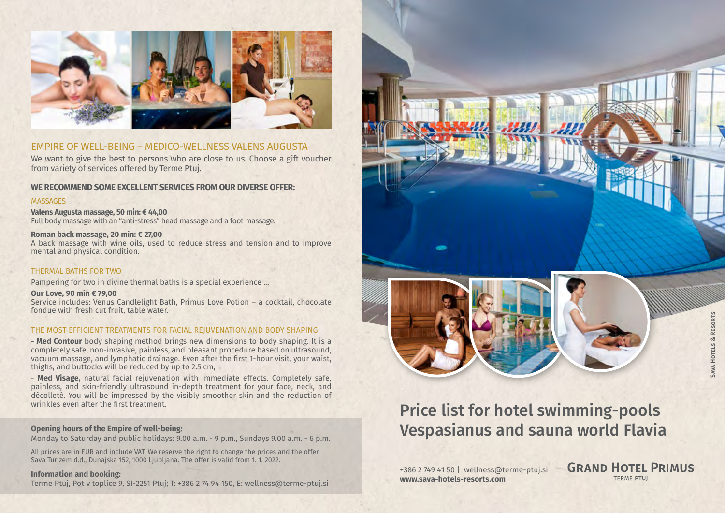

# EMPIRE OF WELL-BEING – MEDICO-WELLNESS VALENS AUGUSTA

We want to give the best to persons who are close to us. Choose a gift voucher from variety of services offered by Terme Ptuj.

# **WE RECOMMEND SOME EXCELLENT SERVICES FROM OUR DIVERSE OFFER:**

#### **MASSAGES**

**Valens Augusta massage, 50 min: € 44,00** Full body massage with an "anti-stress" head massage and a foot massage.

## **Roman back massage, 20 min: € 27,00**

A back massage with wine oils, used to reduce stress and tension and to improve mental and physical condition.

#### THERMAL BATHS FOR TWO

Pampering for two in divine thermal baths is a special experience ...

#### **Our Love, 90 min € 79,00**

Service includes: Venus Candlelight Bath, Primus Love Potion – a cocktail, chocolate fondue with fresh cut fruit, table water.

#### THE MOST EFFICIENT TREATMENTS FOR FACIAL REJUVENATION AND BODY SHAPING

**- Med Contour** body shaping method brings new dimensions to body shaping. It is a completely safe, non-invasive, painless, and pleasant procedure based on ultrasound, vacuum massage, and lymphatic drainage. Even after the first 1-hour visit, your waist, thighs, and buttocks will be reduced by up to 2.5 cm,

- **Med Visage,** natural facial rejuvenation with immediate effects. Completely safe, painless, and skin-friendly ultrasound in-depth treatment for your face, neck, and décolleté. You will be impressed by the visibly smoother skin and the reduction of wrinkles even after the first treatment.

#### **Opening hours of the Empire of well-being:**

Monday to Saturday and public holidays: 9.00 a.m. - 9 p.m., Sundays 9.00 a.m. - 6 p.m.

All prices are in EUR and include VAT. We reserve the right to change the prices and the offer. Sava Turizem d.d., Dunajska 152, 1000 Ljubljana. The offer is valid from 1. 1. 2022.

## **Information and booking:**

Terme Ptuj, Pot v toplice 9, SI-2251 Ptuj; T: +386 2 74 94 150, E: [wellness@terme-ptuj.si](mailto:wellness@terme-ptuj.si)

# Price list for hotel swimming-pools Vespasianus and sauna world Flavia

+386 2 749 41 50 | wellness@terme-ptuj.si **www.sava-hotels-resorts.com**

**GRAND HOTEL PRIMUS TERME PTUI**